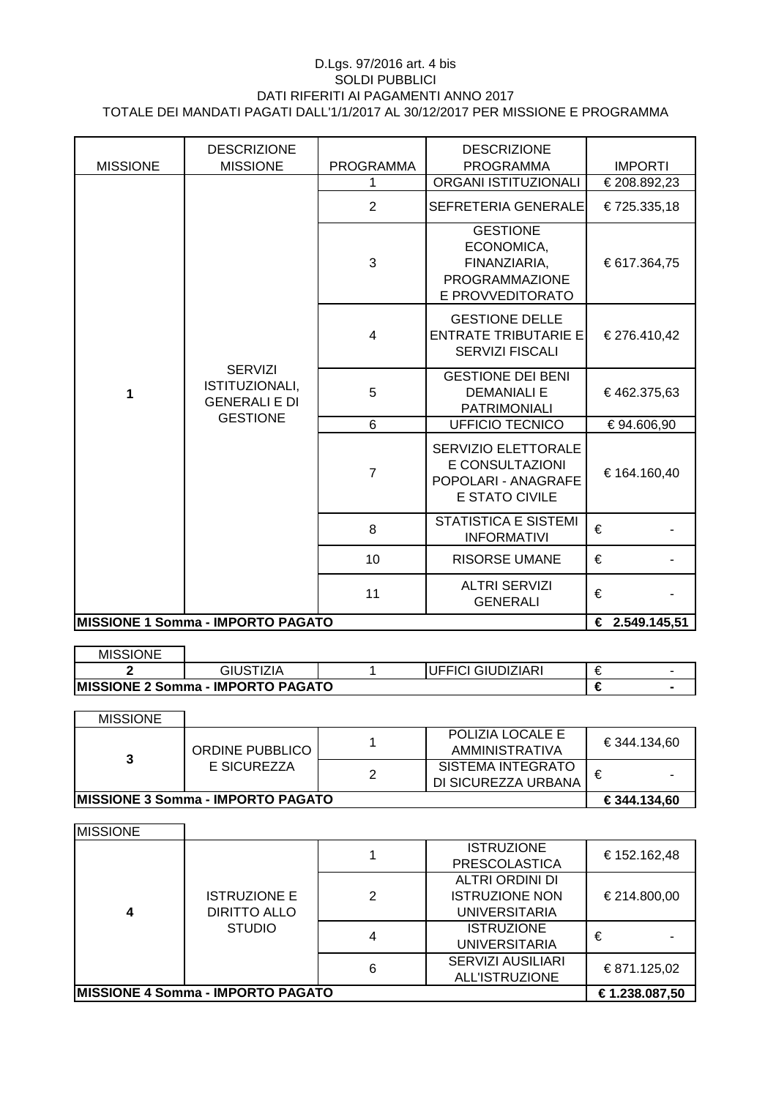| <b>MISSIONE</b>                          | <b>DESCRIZIONE</b><br><b>MISSIONE</b>                    | <b>PROGRAMMA</b> | <b>DESCRIZIONE</b><br><b>PROGRAMMA</b>                                                 |                                |
|------------------------------------------|----------------------------------------------------------|------------------|----------------------------------------------------------------------------------------|--------------------------------|
|                                          |                                                          | 1.               | <b>ORGANI ISTITUZIONALI</b>                                                            | <b>IMPORTI</b><br>€ 208.892,23 |
|                                          |                                                          | $\overline{2}$   | SEFRETERIA GENERALE                                                                    | € 725.335,18                   |
|                                          |                                                          | 3                | <b>GESTIONE</b><br>ECONOMICA,<br>FINANZIARIA,<br>PROGRAMMAZIONE<br>E PROVVEDITORATO    | € 617.364,75                   |
|                                          | <b>SERVIZI</b><br>ISTITUZIONALI,<br><b>GENERALI E DI</b> | 4                | <b>GESTIONE DELLE</b><br><b>ENTRATE TRIBUTARIE E</b><br><b>SERVIZI FISCALI</b>         | € 276.410,42                   |
| 1                                        |                                                          | 5                | <b>GESTIONE DEI BENI</b><br><b>DEMANIALI E</b><br><b>PATRIMONIALI</b>                  | €462.375,63                    |
|                                          | <b>GESTIONE</b>                                          | 6                | <b>UFFICIO TECNICO</b>                                                                 | € 94.606,90                    |
|                                          |                                                          | $\overline{7}$   | SERVIZIO ELETTORALE<br>E CONSULTAZIONI<br>POPOLARI - ANAGRAFE<br><b>E STATO CIVILE</b> | € 164.160,40                   |
|                                          |                                                          | 8                | <b>STATISTICA E SISTEMI</b><br><b>INFORMATIVI</b>                                      | €                              |
|                                          |                                                          | 10               | <b>RISORSE UMANE</b>                                                                   | €                              |
|                                          |                                                          | 11               | <b>ALTRI SERVIZI</b><br><b>GENERALI</b>                                                | €                              |
| <b>MISSIONE 1 Somma - IMPORTO PAGATO</b> | € 2.549.145,51                                           |                  |                                                                                        |                                |

| <b>MISSIONE</b> |                                           |                   |   |  |
|-----------------|-------------------------------------------|-------------------|---|--|
|                 | GIUSTIZIA                                 | UFFICI GIUDIZIARI |   |  |
|                 | <b>IMISSIONE 2 Somma - IMPORTO PAGATO</b> |                   | € |  |

| <b>MISSIONE</b>                           |                                |  |                          |              |
|-------------------------------------------|--------------------------------|--|--------------------------|--------------|
|                                           | ORDINE PUBBLICO<br>E SICUREZZA |  | POLIZIA LOCALE E         | € 344.134.60 |
|                                           |                                |  | AMMINISTRATIVA           |              |
|                                           |                                |  | <b>SISTEMA INTEGRATO</b> | €            |
|                                           |                                |  | DI SICUREZZA URBANA      |              |
| <b>IMISSIONE 3 Somma - IMPORTO PAGATO</b> |                                |  |                          | € 344.134,60 |

| <b>MISSIONE</b>                          |                                                             |   |                          |                |
|------------------------------------------|-------------------------------------------------------------|---|--------------------------|----------------|
|                                          |                                                             |   | <b>ISTRUZIONE</b>        | € 152.162,48   |
|                                          |                                                             |   | <b>PRESCOLASTICA</b>     |                |
|                                          |                                                             |   | ALTRI ORDINI DI          |                |
|                                          | <b>ISTRUZIONE E</b><br><b>DIRITTO ALLO</b><br><b>STUDIO</b> | 2 | <b>ISTRUZIONE NON</b>    | € 214.800,00   |
| 4                                        |                                                             |   | <b>UNIVERSITARIA</b>     |                |
|                                          |                                                             |   | <b>ISTRUZIONE</b>        | €              |
|                                          |                                                             |   | <b>UNIVERSITARIA</b>     |                |
|                                          |                                                             |   | <b>SERVIZI AUSILIARI</b> |                |
|                                          |                                                             | 6 | <b>ALL'ISTRUZIONE</b>    | € 871.125,02   |
| <b>MISSIONE 4 Somma - IMPORTO PAGATO</b> |                                                             |   |                          | € 1.238.087,50 |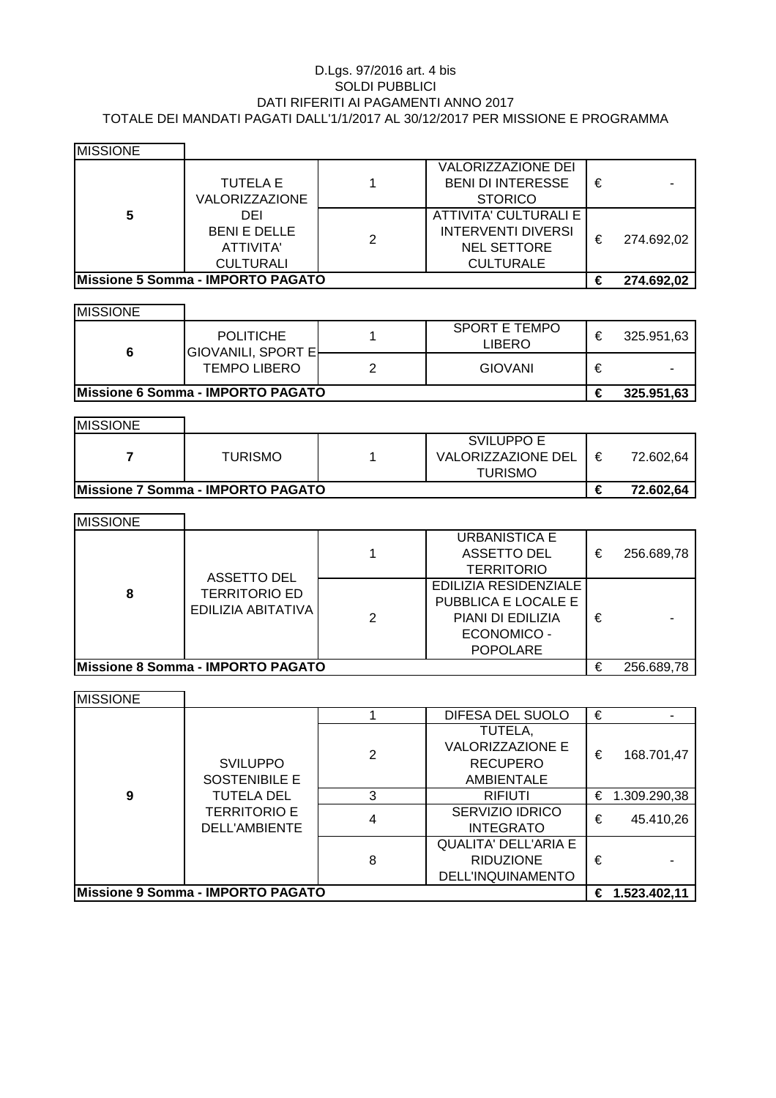| <b>MISSIONE</b>                   |                     |   |                           |   |            |
|-----------------------------------|---------------------|---|---------------------------|---|------------|
|                                   |                     |   | <b>VALORIZZAZIONE DEI</b> |   |            |
|                                   | <b>TUTELA E</b>     |   | <b>BENI DI INTERESSE</b>  | € |            |
|                                   | VALORIZZAZIONE      |   | <b>STORICO</b>            |   |            |
| 5                                 | DEI                 |   | ATTIVITA' CULTURALI E     |   |            |
|                                   | <b>BENI E DELLE</b> | 2 | <b>INTERVENTI DIVERSI</b> | € | 274.692,02 |
|                                   | ATTIVITA'           |   | <b>NEL SETTORE</b>        |   |            |
|                                   | <b>CULTURALI</b>    |   | <b>CULTURALE</b>          |   |            |
| Missione 5 Somma - IMPORTO PAGATO |                     |   |                           |   | 274.692,02 |

| <b>MISSIONE</b> |                       |   |                           |   |           |
|-----------------|-----------------------|---|---------------------------|---|-----------|
|                 |                       |   | <b>VALORIZZAZIONE DEI</b> |   |           |
|                 | TUTELA E              |   | <b>BENI DI INTERESSE</b>  | € |           |
|                 | <b>VALORIZZAZIONE</b> |   | <b>STORICO</b>            |   |           |
| 5               | DEI                   |   | ATTIVITA' CULTURALI E     |   |           |
|                 | <b>BENI E DELLE</b>   | 2 | INTERVENTI DIVERSI        | € | 274.692,0 |
|                 | ATTIVITA'             |   | <b>NEL SETTORE</b>        |   |           |
|                 | $C[II]$ Tild $A[II]$  |   | $C$ III TIID AI E         |   |           |

MISSIONE SPORT E TEMPO POLITICHE 1 SPORT ETEMPO  $\epsilon$  325.951,63 **6** GIOVANILI, SPORT E TEMPO LIBERO 2 GIOVANI  $\epsilon$  -**Missione 6 Somma - IMPORTO PAGATO € 325.951,63**  $\overline{\phantom{0}}$ 

| <b>MISSIONE</b>                           |                |  |                    |   |           |
|-------------------------------------------|----------------|--|--------------------|---|-----------|
|                                           |                |  | <b>SVILUPPO E</b>  |   |           |
|                                           | <b>TURISMO</b> |  | VALORIZZAZIONE DEL | € | 72.602.64 |
|                                           |                |  | <b>TURISMO</b>     |   |           |
| <b>IMissione 7 Somma - IMPORTO PAGATO</b> |                |  |                    |   | 72.602.64 |

|                 | <b>LUNIOIVIU</b>                  | VALUNIZZAZIUNE DEL<br><b>TURISMO</b> | ᠊ᡄ | 72.002.04  |
|-----------------|-----------------------------------|--------------------------------------|----|------------|
|                 | Missione 7 Somma - IMPORTO PAGATO |                                      | €  | 72.602,64  |
|                 |                                   |                                      |    |            |
| <b>MISSIONE</b> |                                   |                                      |    |            |
|                 |                                   | <b>URBANISTICA E</b>                 |    |            |
|                 |                                   | ASSETTO DEL                          | €  | 256.689,78 |
|                 | <b>ASSETTO DEL</b>                | <b>TERRITORIO</b>                    |    |            |
|                 |                                   | <b>FOU ITIA DECIDENTIALE</b>         |    |            |

| IMISSIUNE                                |                    |                              |                      |   |            |
|------------------------------------------|--------------------|------------------------------|----------------------|---|------------|
|                                          |                    |                              | <b>URBANISTICA E</b> |   |            |
| ASSETTO DEL<br><b>TERRITORIO ED</b>      |                    |                              | <b>ASSETTO DEL</b>   | € | 256.689,78 |
|                                          |                    | <b>TERRITORIO</b>            |                      |   |            |
|                                          |                    | <b>EDILIZIA RESIDENZIALE</b> |                      |   |            |
| 8                                        | EDILIZIA ABITATIVA |                              | PUBBLICA E LOCALE E  |   |            |
|                                          |                    | 2                            | PIANI DI EDILIZIA    | € |            |
|                                          |                    |                              | <b>ECONOMICO -</b>   |   |            |
|                                          |                    |                              | <b>POPOLARE</b>      |   |            |
| <b>Missione 8 Somma - IMPORTO PAGATO</b> |                    |                              |                      |   | 256 689 78 |

|                                          |                                                           |   | URBANISTICA E<br><b>ASSETTO DEL</b><br><b>TERRITORIO</b>                                                   | € | 256.689,78 |
|------------------------------------------|-----------------------------------------------------------|---|------------------------------------------------------------------------------------------------------------|---|------------|
| 8                                        | ASSETTO DEL<br><b>TERRITORIO ED</b><br>EDILIZIA ABITATIVA | 2 | EDILIZIA RESIDENZIALE<br>PUBBLICA E LOCALE E<br>PIANI DI EDILIZIA<br><b>ECONOMICO -</b><br><b>POPOLARE</b> | € |            |
| <b>Missione 8 Somma - IMPORTO PAGATO</b> |                                                           |   |                                                                                                            |   | 256.689,78 |

| 8               | <b>TERRITORIO ED</b><br>EDILIZIA ABITATIVA | EDILIZIA RESIDENZIALE<br>PUBBLICA E LOCALE E<br>PIANI DI EDILIZIA<br><b>ECONOMICO -</b><br><b>POPOLARE</b> | € |           |
|-----------------|--------------------------------------------|------------------------------------------------------------------------------------------------------------|---|-----------|
|                 | Missione 8 Somma - IMPORTO PAGATO          |                                                                                                            | € | 256.689,7 |
| <b>MISSIONE</b> |                                            |                                                                                                            |   |           |
|                 |                                            | DIFESA DEL SUOLO                                                                                           | € |           |
|                 |                                            | -------                                                                                                    |   |           |

| <b>MISSIONE</b>                         |                                      |                                                                            |                                                                             |            |                  |
|-----------------------------------------|--------------------------------------|----------------------------------------------------------------------------|-----------------------------------------------------------------------------|------------|------------------|
|                                         |                                      |                                                                            | DIFESA DEL SUOLO                                                            | €          |                  |
| <b>SVILUPPO</b><br><b>SOSTENIBILE E</b> | 2                                    | TUTELA,<br><b>VALORIZZAZIONE E</b><br><b>RECUPERO</b><br><b>AMBIENTALE</b> | €                                                                           | 168.701,47 |                  |
| 9                                       | <b>TUTELA DEL</b>                    | 3                                                                          | <b>RIFIUTI</b>                                                              |            | € 1.309.290,38   |
|                                         | <b>TERRITORIO E</b><br>DELL'AMBIENTE | 4                                                                          | SERVIZIO IDRICO<br><b>INTEGRATO</b>                                         | €          | 45.410,26        |
|                                         |                                      | 8                                                                          | <b>QUALITA' DELL'ARIA E</b><br><b>RIDUZIONE</b><br><b>DELL'INQUINAMENTO</b> | €          |                  |
| Missione 9 Somma - IMPORTO PAGATO       |                                      |                                                                            |                                                                             |            | € $1.523.402,11$ |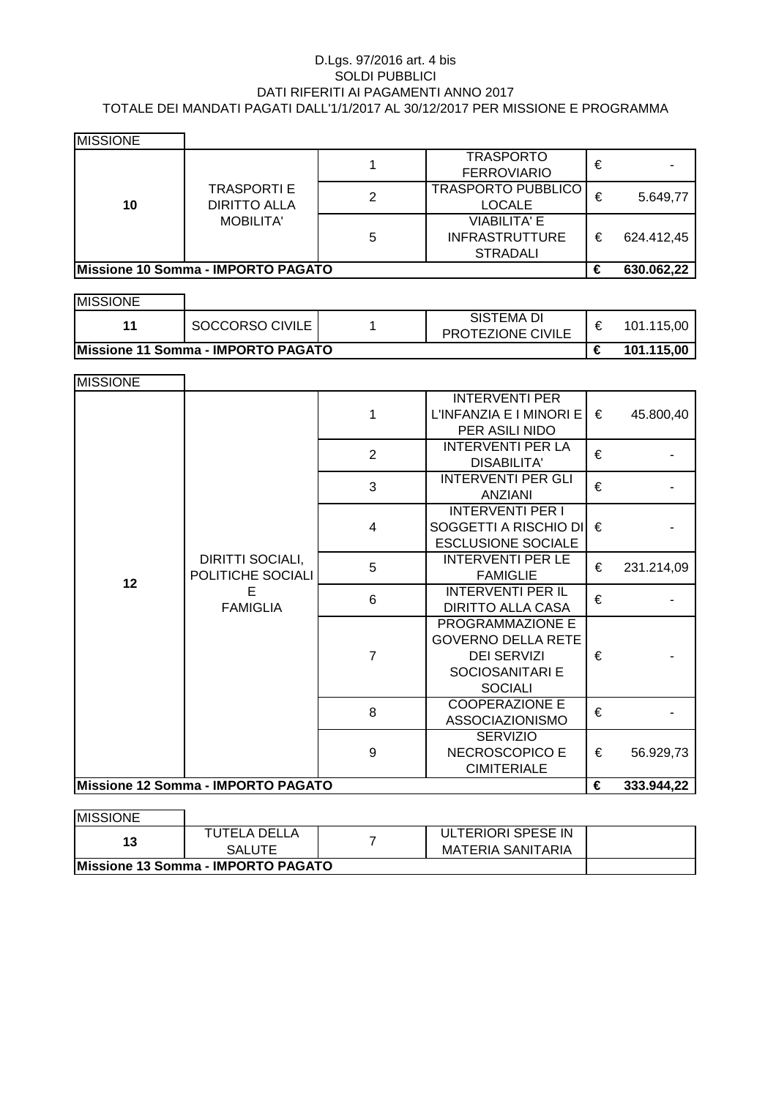| <b>MISSIONE</b> |                                                               |   |                           |   |            |
|-----------------|---------------------------------------------------------------|---|---------------------------|---|------------|
|                 | <b>TRASPORTI E</b><br><b>DIRITTO ALLA</b><br><b>MOBILITA'</b> |   | <b>TRASPORTO</b>          | € |            |
|                 |                                                               |   | <b>FERROVIARIO</b>        |   |            |
|                 |                                                               | 2 | <b>TRASPORTO PUBBLICO</b> | € | 5.649,77   |
| 10              |                                                               |   | <b>LOCALE</b>             |   |            |
|                 |                                                               | 5 | <b>VIABILITA' E</b>       |   |            |
|                 |                                                               |   | <b>INFRASTRUTTURE</b>     | € | 624.412,45 |
|                 |                                                               |   | <b>STRADALI</b>           |   |            |
|                 | Missione 10 Somma - IMPORTO PAGATO                            |   |                           | € | 630.062,22 |

MISSIONE **€ 101.115,00** SISTEMA DI 11 SOCCORSO CIVILE  $\begin{array}{|c|c|c|c|c|c|c|c|c|}\n\hline\n\text{PROTEZIONE CIVILE} & \text{€} & \text{101.115,00} \\
\hline\n\end{array}$ **Missione 11 Somma - IMPORTO PAGATO**

| <b>MISSIONE</b> |                                                               |                |                                                                                                                 |   |            |
|-----------------|---------------------------------------------------------------|----------------|-----------------------------------------------------------------------------------------------------------------|---|------------|
|                 |                                                               | 1              | <b>INTERVENTI PER</b><br>L'INFANZIA E I MINORI E<br>PER ASILI NIDO                                              | € | 45.800,40  |
|                 |                                                               | $\overline{2}$ | <b>INTERVENTI PER LA</b><br><b>DISABILITA'</b>                                                                  | € |            |
|                 |                                                               | 3              | <b>INTERVENTI PER GLI</b><br><b>ANZIANI</b>                                                                     | € |            |
|                 |                                                               | $\overline{4}$ | <b>INTERVENTI PER I</b><br>SOGGETTI A RISCHIO DI<br><b>ESCLUSIONE SOCIALE</b>                                   | € |            |
| 12              | DIRITTI SOCIALI,<br>POLITICHE SOCIALI<br>E<br><b>FAMIGLIA</b> | 5              | <b>INTERVENTI PER LE</b><br><b>FAMIGLIE</b>                                                                     | € | 231.214,09 |
|                 |                                                               | $6\phantom{1}$ | <b>INTERVENTI PER IL</b><br><b>DIRITTO ALLA CASA</b>                                                            | € |            |
|                 |                                                               | $\overline{7}$ | <b>PROGRAMMAZIONE E</b><br><b>GOVERNO DELLA RETE</b><br><b>DEI SERVIZI</b><br>SOCIOSANITARI E<br><b>SOCIALI</b> | € |            |
|                 |                                                               | 8              | <b>COOPERAZIONE E</b><br>ASSOCIAZIONISMO                                                                        | € |            |
|                 |                                                               | 9              | <b>SERVIZIO</b><br>NECROSCOPICO E<br><b>CIMITERIALE</b>                                                         | € | 56.929,73  |
|                 | Missione 12 Somma - IMPORTO PAGATO                            |                |                                                                                                                 | € | 333.944,22 |

| <b>IMISSIONE</b>                   |               |  |                    |  |  |
|------------------------------------|---------------|--|--------------------|--|--|
|                                    | TUTELA DELLA  |  | ULTERIORI SPESE IN |  |  |
| 13                                 | <b>SALUTE</b> |  | MATERIA SANITARIA  |  |  |
| Missione 13 Somma - IMPORTO PAGATO |               |  |                    |  |  |